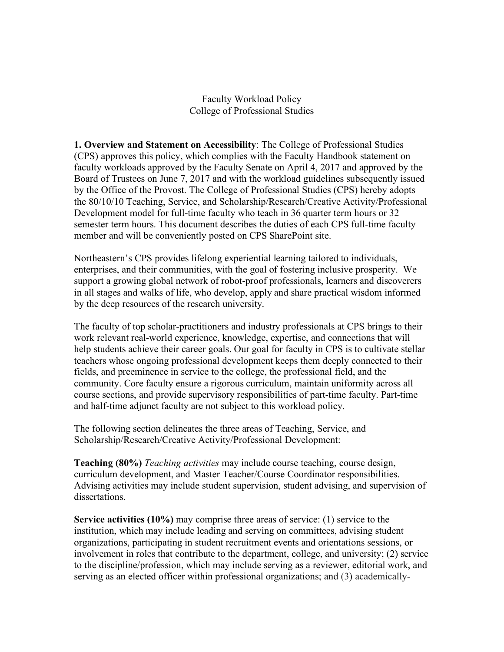Faculty Workload Policy College of Professional Studies

**1. Overview and Statement on Accessibility**: The College of Professional Studies (CPS) approves this policy, which complies with the Faculty Handbook statement on faculty workloads approved by the Faculty Senate on April 4, 2017 and approved by the Board of Trustees on June 7, 2017 and with the workload guidelines subsequently issued by the Office of the Provost. The College of Professional Studies (CPS) hereby adopts the 80/10/10 Teaching, Service, and Scholarship/Research/Creative Activity/Professional Development model for full-time faculty who teach in 36 quarter term hours or 32 semester term hours. This document describes the duties of each CPS full-time faculty member and will be conveniently posted on CPS SharePoint site.

Northeastern's CPS provides lifelong experiential learning tailored to individuals, enterprises, and their communities, with the goal of fostering inclusive prosperity. We support a growing global network of robot-proof professionals, learners and discoverers in all stages and walks of life, who develop, apply and share practical wisdom informed by the deep resources of the research university.

The faculty of top scholar-practitioners and industry professionals at CPS brings to their work relevant real-world experience, knowledge, expertise, and connections that will help students achieve their career goals. Our goal for faculty in CPS is to cultivate stellar teachers whose ongoing professional development keeps them deeply connected to their fields, and preeminence in service to the college, the professional field, and the community. Core faculty ensure a rigorous curriculum, maintain uniformity across all course sections, and provide supervisory responsibilities of part-time faculty. Part-time and half-time adjunct faculty are not subject to this workload policy.

The following section delineates the three areas of Teaching, Service, and Scholarship/Research/Creative Activity/Professional Development:

**Teaching (80%)** *Teaching activities* may include course teaching, course design, curriculum development, and Master Teacher/Course Coordinator responsibilities. Advising activities may include student supervision, student advising, and supervision of dissertations.

**Service activities (10%)** may comprise three areas of service: (1) service to the institution, which may include leading and serving on committees, advising student organizations, participating in student recruitment events and orientations sessions, or involvement in roles that contribute to the department, college, and university; (2) service to the discipline/profession, which may include serving as a reviewer, editorial work, and serving as an elected officer within professional organizations; and (3) academically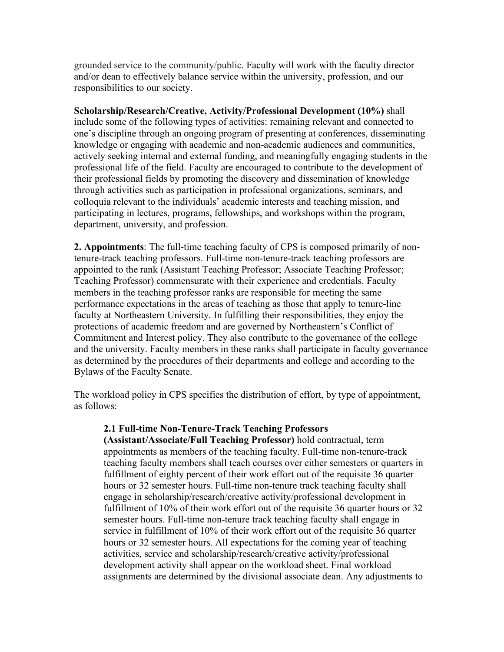grounded service to the community/public. Faculty will work with the faculty director and/or dean to effectively balance service within the university, profession, and our responsibilities to our society.

**Scholarship/Research/Creative, Activity/Professional Development (10%)** shall include some of the following types of activities: remaining relevant and connected to one's discipline through an ongoing program of presenting at conferences, disseminating knowledge or engaging with academic and non-academic audiences and communities, actively seeking internal and external funding, and meaningfully engaging students in the professional life of the field. Faculty are encouraged to contribute to the development of their professional fields by promoting the discovery and dissemination of knowledge through activities such as participation in professional organizations, seminars, and colloquia relevant to the individuals' academic interests and teaching mission, and participating in lectures, programs, fellowships, and workshops within the program, department, university, and profession.

**2. Appointments**: The full-time teaching faculty of CPS is composed primarily of nontenure-track teaching professors. Full-time non-tenure-track teaching professors are appointed to the rank (Assistant Teaching Professor; Associate Teaching Professor; Teaching Professor) commensurate with their experience and credentials. Faculty members in the teaching professor ranks are responsible for meeting the same performance expectations in the areas of teaching as those that apply to tenure-line faculty at Northeastern University. In fulfilling their responsibilities, they enjoy the protections of academic freedom and are governed by Northeastern's Conflict of Commitment and Interest policy. They also contribute to the governance of the college and the university. Faculty members in these ranks shall participate in faculty governance as determined by the procedures of their departments and college and according to the Bylaws of the Faculty Senate.

The workload policy in CPS specifies the distribution of effort, by type of appointment, as follows:

## **2.1 Full-time Non-Tenure-Track Teaching Professors**

**(Assistant/Associate/Full Teaching Professor)** hold contractual, term appointments as members of the teaching faculty. Full-time non-tenure-track teaching faculty members shall teach courses over either semesters or quarters in fulfillment of eighty percent of their work effort out of the requisite 36 quarter hours or 32 semester hours. Full-time non-tenure track teaching faculty shall engage in scholarship/research/creative activity/professional development in fulfillment of 10% of their work effort out of the requisite 36 quarter hours or 32 semester hours. Full-time non-tenure track teaching faculty shall engage in service in fulfillment of 10% of their work effort out of the requisite 36 quarter hours or 32 semester hours. All expectations for the coming year of teaching activities, service and scholarship/research/creative activity/professional development activity shall appear on the workload sheet. Final workload assignments are determined by the divisional associate dean. Any adjustments to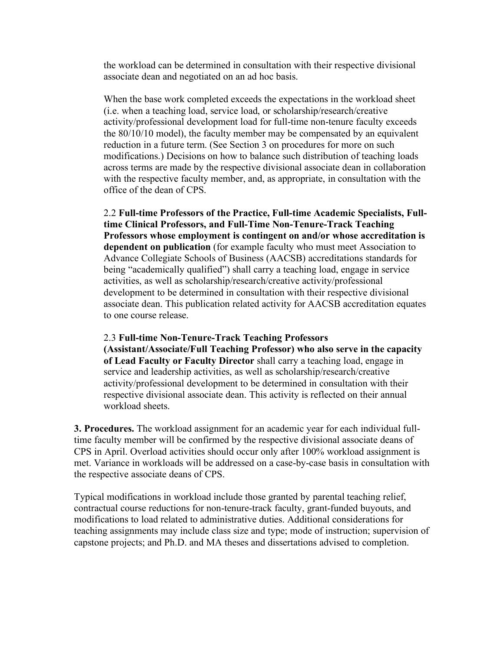the workload can be determined in consultation with their respective divisional associate dean and negotiated on an ad hoc basis.

When the base work completed exceeds the expectations in the workload sheet (i.e. when a teaching load, service load, or scholarship/research/creative activity/professional development load for full-time non-tenure faculty exceeds the 80/10/10 model), the faculty member may be compensated by an equivalent reduction in a future term. (See Section 3 on procedures for more on such modifications.) Decisions on how to balance such distribution of teaching loads across terms are made by the respective divisional associate dean in collaboration with the respective faculty member, and, as appropriate, in consultation with the office of the dean of CPS.

2.2 **Full-time Professors of the Practice, Full-time Academic Specialists, Fulltime Clinical Professors, and Full-Time Non-Tenure-Track Teaching Professors whose employment is contingent on and/or whose accreditation is dependent on publication** (for example faculty who must meet Association to Advance Collegiate Schools of Business (AACSB) accreditations standards for being "academically qualified") shall carry a teaching load, engage in service activities, as well as scholarship/research/creative activity/professional development to be determined in consultation with their respective divisional associate dean. This publication related activity for AACSB accreditation equates to one course release.

## 2.3 **Full-time Non-Tenure-Track Teaching Professors**

**(Assistant/Associate/Full Teaching Professor) who also serve in the capacity of Lead Faculty or Faculty Director** shall carry a teaching load, engage in service and leadership activities, as well as scholarship/research/creative activity/professional development to be determined in consultation with their respective divisional associate dean. This activity is reflected on their annual workload sheets.

**3. Procedures.** The workload assignment for an academic year for each individual fulltime faculty member will be confirmed by the respective divisional associate deans of CPS in April. Overload activities should occur only after 100% workload assignment is met. Variance in workloads will be addressed on a case-by-case basis in consultation with the respective associate deans of CPS.

Typical modifications in workload include those granted by parental teaching relief, contractual course reductions for non-tenure-track faculty, grant-funded buyouts, and modifications to load related to administrative duties. Additional considerations for teaching assignments may include class size and type; mode of instruction; supervision of capstone projects; and Ph.D. and MA theses and dissertations advised to completion.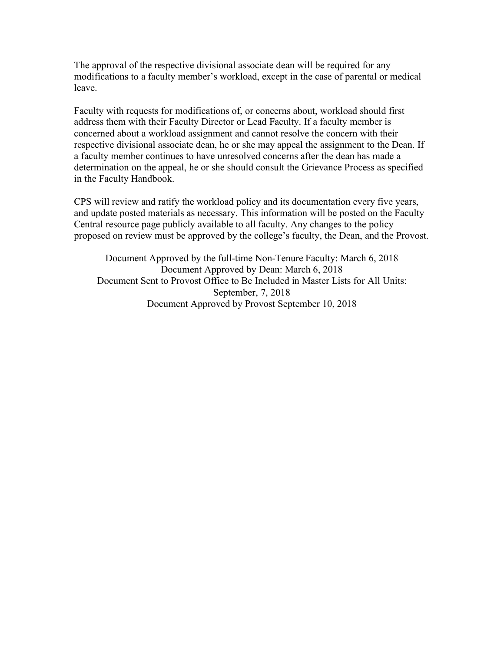The approval of the respective divisional associate dean will be required for any modifications to a faculty member's workload, except in the case of parental or medical leave.

Faculty with requests for modifications of, or concerns about, workload should first address them with their Faculty Director or Lead Faculty. If a faculty member is concerned about a workload assignment and cannot resolve the concern with their respective divisional associate dean, he or she may appeal the assignment to the Dean. If a faculty member continues to have unresolved concerns after the dean has made a determination on the appeal, he or she should consult the Grievance Process as specified in the Faculty Handbook.

CPS will review and ratify the workload policy and its documentation every five years, and update posted materials as necessary. This information will be posted on the Faculty Central resource page publicly available to all faculty. Any changes to the policy proposed on review must be approved by the college's faculty, the Dean, and the Provost.

Document Approved by the full-time Non-Tenure Faculty: March 6, 2018 Document Approved by Dean: March 6, 2018 Document Sent to Provost Office to Be Included in Master Lists for All Units: September, 7, 2018 Document Approved by Provost September 10, 2018